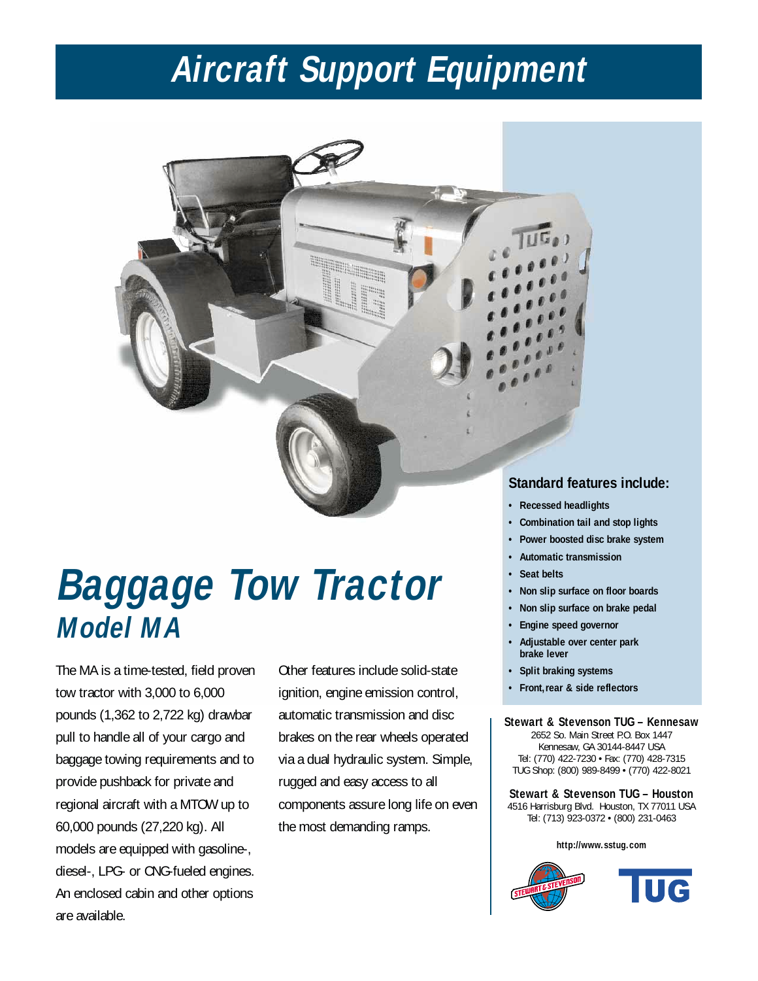# **Aircraft Support Equipment**

# **Baggage Tow Tractor Model MA**

The MA is a time-tested, field proven tow tractor with 3,000 to 6,000 pounds (1,362 to 2,722 kg) drawbar pull to handle all of your cargo and baggage towing requirements and to provide pushback for private and regional aircraft with a MTOW up to 60,000 pounds (27,220 kg). All models are equipped with gasoline-, diesel-, LPG- or CNG-fueled engines. An enclosed cabin and other options are available.

Other features include solid-state ignition, engine emission control, automatic transmission and disc brakes on the rear wheels operated via a dual hydraulic system. Simple, rugged and easy access to all components assure long life on even the most demanding ramps.

### **Standard features include:**

- **Recessed headlights**
- **Combination tail and stop lights**
- **Power boosted disc brake system**
- **Automatic transmission**
- **Seat belts**
- **Non slip surface on floor boards**
- **Non slip surface on brake pedal**
- **Engine speed governor**
- **Adjustable over center park brake lever**
- **Split braking systems**
- **Front,rear & side reflectors**

#### **Stewart & Stevenson TUG – Kennesaw**

2652 So. Main Street P.O. Box 1447 Kennesaw, GA 30144-8447 USA Tel: (770) 422-7230 • Fax: (770) 428-7315 TUG Shop: (800) 989-8499 • (770) 422-8021

**Stewart & Stevenson TUG – Houston** 4516 Harrisburg Blvd. Houston, TX 77011 USA Tel: (713) 923-0372 • (800) 231-0463

#### **http://www.sstug.com**